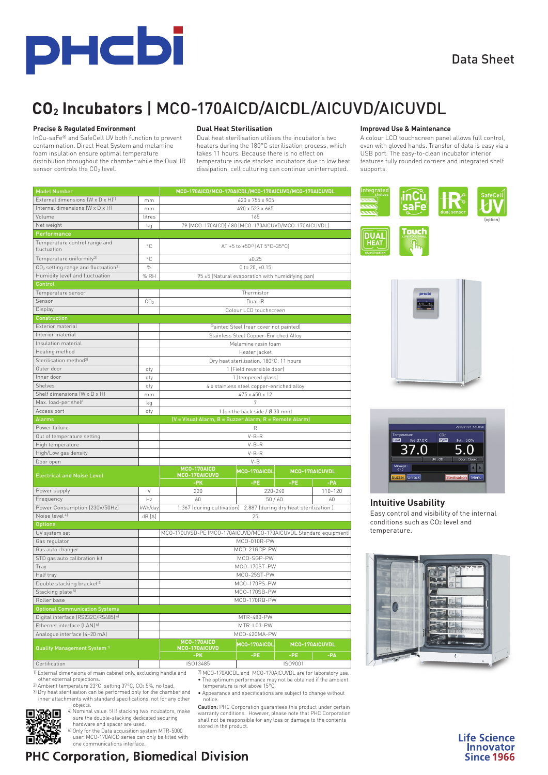

# Data Sheet

(option)

# **CO2 Incubators** | MCO-170AICD/AICDL/AICUVD/AICUVDL

#### **Precise & Regulated Environment**

InCu-saFe® and SafeCell UV both function to prevent contamination. Direct Heat System and melamine foam insulation ensure optimal temperature distribution throughout the chamber while the Dual IR sensor controls the CO<sub>2</sub> level.

#### **Dual Heat Sterilisation**

Dual heat sterilisation utilises the incubator's two heaters during the 180°C sterilisation process, which takes 11 hours. Because there is no effect on temperature inside stacked incubators due to low heat dissipation, cell culturing can continue uninterrupted.

#### **Improved Use & Maintenance**

Touch

Integrated

**DUAL HEAT** 

A colour LCD touchscreen panel allows full control, even with gloved hands. Transfer of data is easy via a USB port. The easy-to-clean incubator interior features fully rounded corners and integrated shelf supports.

| <b>Model Number</b>                               |                 | MCO-170AICD/MCO-170AICDL/MCO-170AICUVD/MCO-170AICUVDL                           |                        |                         |         |  |  |  |  |
|---------------------------------------------------|-----------------|---------------------------------------------------------------------------------|------------------------|-------------------------|---------|--|--|--|--|
| External dimensions (W x D x H) <sup>1)</sup>     | mm              |                                                                                 | 620 x 755 x 905        |                         |         |  |  |  |  |
| Internal dimensions (W x D x H)                   | mm              | 490 x 523 x 665                                                                 |                        |                         |         |  |  |  |  |
| Volume                                            | litres          | 165                                                                             |                        |                         |         |  |  |  |  |
| Net weight                                        | kq              | 79 (MCO-170AICD) / 80 (MCO-170AICUVD/MCO-170AICUVDL)                            |                        |                         |         |  |  |  |  |
| Performance                                       |                 |                                                                                 |                        |                         |         |  |  |  |  |
| Temperature control range and<br>fluctuation      | °C              | AT +5 to +50 <sup>2)</sup> [AT 5°C-35°C]                                        |                        |                         |         |  |  |  |  |
| Temperature uniformity <sup>2)</sup>              | °C              |                                                                                 | ±0.25                  |                         |         |  |  |  |  |
| $CO2$ setting range and fluctuation <sup>21</sup> | $\%$            |                                                                                 | 0 to 20, ±0.15         |                         |         |  |  |  |  |
| Humidity level and fluctuation                    | % RH            | 95 ±5 (Natural evaporation with humidifying pan)                                |                        |                         |         |  |  |  |  |
| Control                                           |                 |                                                                                 |                        |                         |         |  |  |  |  |
| Temperature sensor                                |                 |                                                                                 | Thermistor             |                         |         |  |  |  |  |
| Sensor                                            | CO <sub>2</sub> | Dual IR                                                                         |                        |                         |         |  |  |  |  |
| Display                                           |                 |                                                                                 | Colour LCD touchscreen |                         |         |  |  |  |  |
| <b>Construction</b>                               |                 |                                                                                 |                        |                         |         |  |  |  |  |
| Exterior material                                 |                 |                                                                                 |                        |                         |         |  |  |  |  |
| Interior material                                 |                 | Painted Steel (rear cover not painted)<br>Stainless Steel Copper-Enriched Alloy |                        |                         |         |  |  |  |  |
| Insulation material                               |                 |                                                                                 | Melamine resin foam    |                         |         |  |  |  |  |
| Heating method                                    |                 |                                                                                 | Heater jacket          |                         |         |  |  |  |  |
| Sterilisation method <sup>31</sup>                |                 |                                                                                 |                        |                         |         |  |  |  |  |
| Outer door                                        | qty             | Dry heat sterilisation, 180°C, 11 hours<br>1 (Field reversible door)            |                        |                         |         |  |  |  |  |
| Inner door                                        | qty             | 1 (tempered glass)                                                              |                        |                         |         |  |  |  |  |
| Shelves                                           | qty             | 4 x stainless steel copper-enriched alloy                                       |                        |                         |         |  |  |  |  |
| Shelf dimensions (W x D x H)                      | mm              | 475 x 450 x 12                                                                  |                        |                         |         |  |  |  |  |
| Max. load-per shelf                               | kq              |                                                                                 |                        |                         |         |  |  |  |  |
| Access port                                       |                 | 7<br>1 (on the back side / Ø 30 mm)                                             |                        |                         |         |  |  |  |  |
| <b>Alarms</b>                                     | qty             | (V = Visual Alarm, B = Buzzer Alarm, R = Remote Alarm)                          |                        |                         |         |  |  |  |  |
| Power failure                                     |                 |                                                                                 |                        |                         |         |  |  |  |  |
| Out of temperature setting                        |                 | R<br>$V - B - R$                                                                |                        |                         |         |  |  |  |  |
| High temperature                                  |                 | $V-B-R$                                                                         |                        |                         |         |  |  |  |  |
| High/Low gas density                              |                 | $V-B-R$                                                                         |                        |                         |         |  |  |  |  |
| Door open                                         |                 |                                                                                 |                        |                         |         |  |  |  |  |
|                                                   |                 | $V - B$<br>MCO-170AICD                                                          |                        |                         |         |  |  |  |  |
| <b>Electrical and Noise Level</b>                 |                 | MCO-170AICUVD<br>-PK                                                            | MCO-170AICDL<br>-PE    | MCO-170AICUVDL<br>$-PE$ | -PA     |  |  |  |  |
| Power supply                                      | V               | 220                                                                             | 220-240                |                         | 110-120 |  |  |  |  |
| Frequency                                         | Hz              | 60                                                                              | 50/60<br>60            |                         |         |  |  |  |  |
| Power Consumption (230V/50Hz)                     | kWh/day         | 1.367 (during cultivation) 2.887 (during dry heat sterilization)                |                        |                         |         |  |  |  |  |
| Noise level <sup>4]</sup>                         | dB [A]          |                                                                                 | 25                     |                         |         |  |  |  |  |
| <b>Options</b>                                    |                 |                                                                                 |                        |                         |         |  |  |  |  |
| UV system set                                     |                 | MCO-170UVSD-PE (MCO-170AICUVD/MCO-170AICUVDL Standard equipment)                |                        |                         |         |  |  |  |  |
| Gas regulator                                     |                 | MCO-010R-PW                                                                     |                        |                         |         |  |  |  |  |
| Gas auto changer                                  |                 | MCO-21GCP-PW                                                                    |                        |                         |         |  |  |  |  |
| STD gas auto calibration kit                      |                 | MCO-SGP-PW                                                                      |                        |                         |         |  |  |  |  |
| Tray                                              |                 | MCO-170ST-PW                                                                    |                        |                         |         |  |  |  |  |
| Half tray                                         |                 | MCO-25ST-PW                                                                     |                        |                         |         |  |  |  |  |
| Double stacking bracket <sup>5)</sup>             |                 | MCO-170PS-PW                                                                    |                        |                         |         |  |  |  |  |
| Stacking plate <sup>5)</sup>                      |                 | MCO-170SB-PW                                                                    |                        |                         |         |  |  |  |  |
| Roller base                                       |                 |                                                                                 | MCO-170RB-PW           |                         |         |  |  |  |  |
| <b>Optional Communication Systems</b>             |                 |                                                                                 |                        |                         |         |  |  |  |  |
| Digital interface (RS232C/RS485) 61               |                 |                                                                                 | MTR-480-PW             |                         |         |  |  |  |  |
| Ethernet interface (LAN) 6)                       |                 | MTR-L03-PW                                                                      |                        |                         |         |  |  |  |  |
| Analogue interface [4-20 mA]                      |                 |                                                                                 | MCO-420MA-PW           |                         |         |  |  |  |  |
| <b>Quality Management System 71</b>               |                 | MCO-170AICD<br>MCO-170AICUVD                                                    | MCO-170AICUVDL         |                         |         |  |  |  |  |
|                                                   |                 | $-PK$                                                                           | -PE                    | -PE                     | $-PA$   |  |  |  |  |
| Certification                                     |                 | ISO13485                                                                        |                        | ISO9001                 |         |  |  |  |  |

1) External dimensions of main cabinet only, excluding handle and other external projections. 7) MCO-170AICDL and MCO-170AICUVDL are for laboratory use. • The optimum performance may not be obtained if the ambient

2) Ambient temperature 23°C, setting 37°C, CO2 5%, no load. 3) Dry heat sterilisation can be performed only for the chamber and

G

inner attachments with standard specifications, not for any other objects. 務団<br>大会 4) Nominal value. 5) If stacking two incubators, make

temperature is not above 15°C. • Appearance and specifications are subject to change without

notice.

Caution: PHC Corporation guarantees this product under certain warranty conditions. However, please note that PHC Corporation shall not be responsible for any loss or damage to the contents stored in the product.





## **Intuitive Usability**

Easy control and visibility of the internal conditions such as CO2 level and temperature.



sure the double-stacking dedicated securing hardware and spacer are used. 6) Only for the Data acquisition system MTR-5000 user. MCO-170AICD series can only be fitted with one communications interface.

# **PHC Corporation, Biomedical Division**